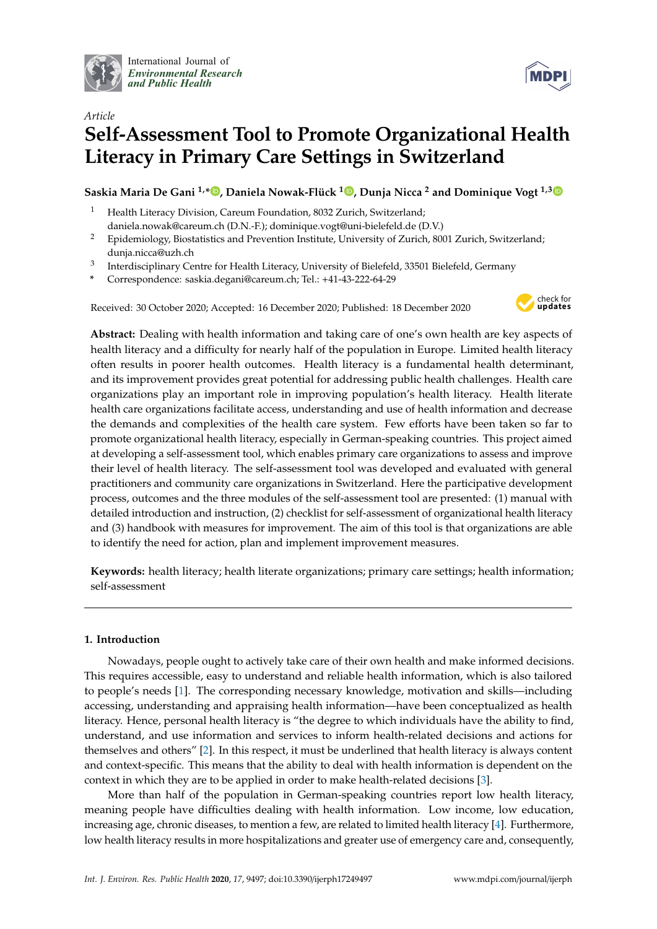

International Journal of *[Environmental Research](http://www.mdpi.com/journal/ijerph) and Public Health*



# *Article* **Self-Assessment Tool to Promote Organizational Health Literacy in Primary Care Settings in Switzerland**

**Saskia Maria De Gani 1,\* [,](https://orcid.org/0000-0002-7992-7209) Daniela Nowak-Flück <sup>1</sup> [,](https://orcid.org/0000-0001-8545-2556) Dunja Nicca <sup>2</sup> and Dominique Vogt 1,[3](https://orcid.org/0000-0002-2254-1735)**

- <sup>1</sup> Health Literacy Division, Careum Foundation, 8032 Zurich, Switzerland; daniela.nowak@careum.ch (D.N.-F.); dominique.vogt@uni-bielefeld.de (D.V.)
- <sup>2</sup> Epidemiology, Biostatistics and Prevention Institute, University of Zurich, 8001 Zurich, Switzerland; dunja.nicca@uzh.ch
- 3 Interdisciplinary Centre for Health Literacy, University of Bielefeld, 33501 Bielefeld, Germany
- **\*** Correspondence: saskia.degani@careum.ch; Tel.: +41-43-222-64-29

Received: 30 October 2020; Accepted: 16 December 2020; Published: 18 December 2020



**Abstract:** Dealing with health information and taking care of one's own health are key aspects of health literacy and a difficulty for nearly half of the population in Europe. Limited health literacy often results in poorer health outcomes. Health literacy is a fundamental health determinant, and its improvement provides great potential for addressing public health challenges. Health care organizations play an important role in improving population's health literacy. Health literate health care organizations facilitate access, understanding and use of health information and decrease the demands and complexities of the health care system. Few efforts have been taken so far to promote organizational health literacy, especially in German-speaking countries. This project aimed at developing a self-assessment tool, which enables primary care organizations to assess and improve their level of health literacy. The self-assessment tool was developed and evaluated with general practitioners and community care organizations in Switzerland. Here the participative development process, outcomes and the three modules of the self-assessment tool are presented: (1) manual with detailed introduction and instruction, (2) checklist for self-assessment of organizational health literacy and (3) handbook with measures for improvement. The aim of this tool is that organizations are able to identify the need for action, plan and implement improvement measures.

**Keywords:** health literacy; health literate organizations; primary care settings; health information; self-assessment

# **1. Introduction**

Nowadays, people ought to actively take care of their own health and make informed decisions. This requires accessible, easy to understand and reliable health information, which is also tailored to people's needs [\[1\]](#page-12-0). The corresponding necessary knowledge, motivation and skills—including accessing, understanding and appraising health information—have been conceptualized as health literacy. Hence, personal health literacy is "the degree to which individuals have the ability to find, understand, and use information and services to inform health-related decisions and actions for themselves and others" [\[2\]](#page-12-1). In this respect, it must be underlined that health literacy is always content and context-specific. This means that the ability to deal with health information is dependent on the context in which they are to be applied in order to make health-related decisions [\[3\]](#page-12-2).

More than half of the population in German-speaking countries report low health literacy, meaning people have difficulties dealing with health information. Low income, low education, increasing age, chronic diseases, to mention a few, are related to limited health literacy [\[4\]](#page-12-3). Furthermore, low health literacy results in more hospitalizations and greater use of emergency care and, consequently,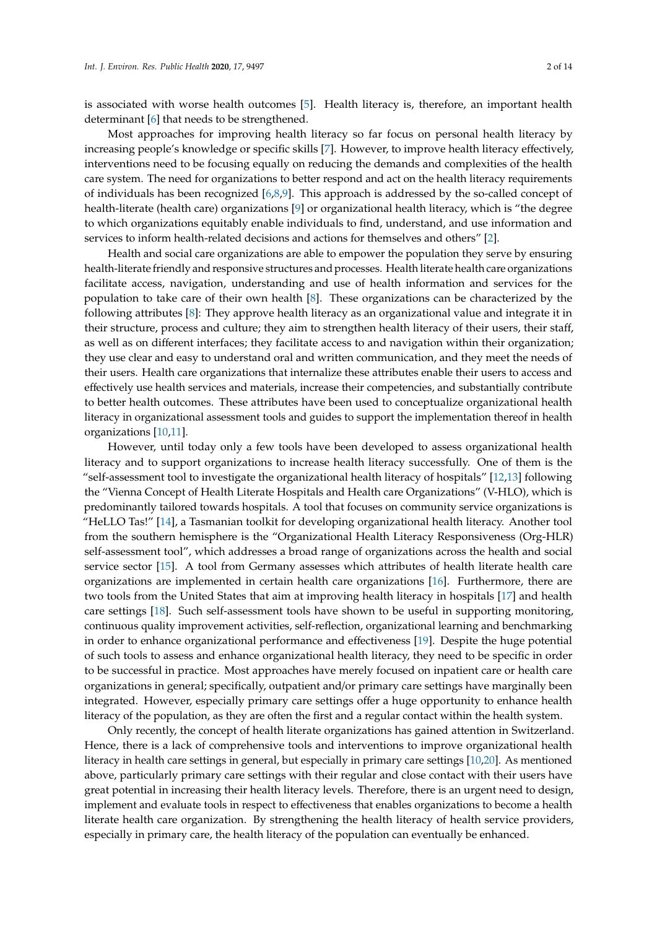is associated with worse health outcomes [\[5\]](#page-12-4). Health literacy is, therefore, an important health determinant [\[6\]](#page-12-5) that needs to be strengthened.

Most approaches for improving health literacy so far focus on personal health literacy by increasing people's knowledge or specific skills [\[7\]](#page-13-0). However, to improve health literacy effectively, interventions need to be focusing equally on reducing the demands and complexities of the health care system. The need for organizations to better respond and act on the health literacy requirements of individuals has been recognized [\[6](#page-12-5)[,8](#page-13-1)[,9\]](#page-13-2). This approach is addressed by the so-called concept of health-literate (health care) organizations [\[9\]](#page-13-2) or organizational health literacy, which is "the degree to which organizations equitably enable individuals to find, understand, and use information and services to inform health-related decisions and actions for themselves and others" [\[2\]](#page-12-1).

Health and social care organizations are able to empower the population they serve by ensuring health-literate friendly and responsive structures and processes. Health literate health care organizations facilitate access, navigation, understanding and use of health information and services for the population to take care of their own health [\[8\]](#page-13-1). These organizations can be characterized by the following attributes [\[8\]](#page-13-1): They approve health literacy as an organizational value and integrate it in their structure, process and culture; they aim to strengthen health literacy of their users, their staff, as well as on different interfaces; they facilitate access to and navigation within their organization; they use clear and easy to understand oral and written communication, and they meet the needs of their users. Health care organizations that internalize these attributes enable their users to access and effectively use health services and materials, increase their competencies, and substantially contribute to better health outcomes. These attributes have been used to conceptualize organizational health literacy in organizational assessment tools and guides to support the implementation thereof in health organizations [\[10](#page-13-3)[,11\]](#page-13-4).

However, until today only a few tools have been developed to assess organizational health literacy and to support organizations to increase health literacy successfully. One of them is the "self-assessment tool to investigate the organizational health literacy of hospitals" [\[12,](#page-13-5)[13\]](#page-13-6) following the "Vienna Concept of Health Literate Hospitals and Health care Organizations" (V-HLO), which is predominantly tailored towards hospitals. A tool that focuses on community service organizations is "HeLLO Tas!" [\[14\]](#page-13-7), a Tasmanian toolkit for developing organizational health literacy. Another tool from the southern hemisphere is the "Organizational Health Literacy Responsiveness (Org-HLR) self-assessment tool", which addresses a broad range of organizations across the health and social service sector [\[15\]](#page-13-8). A tool from Germany assesses which attributes of health literate health care organizations are implemented in certain health care organizations [\[16\]](#page-13-9). Furthermore, there are two tools from the United States that aim at improving health literacy in hospitals [\[17\]](#page-13-10) and health care settings [\[18\]](#page-13-11). Such self-assessment tools have shown to be useful in supporting monitoring, continuous quality improvement activities, self-reflection, organizational learning and benchmarking in order to enhance organizational performance and effectiveness [\[19\]](#page-13-12). Despite the huge potential of such tools to assess and enhance organizational health literacy, they need to be specific in order to be successful in practice. Most approaches have merely focused on inpatient care or health care organizations in general; specifically, outpatient and/or primary care settings have marginally been integrated. However, especially primary care settings offer a huge opportunity to enhance health literacy of the population, as they are often the first and a regular contact within the health system.

Only recently, the concept of health literate organizations has gained attention in Switzerland. Hence, there is a lack of comprehensive tools and interventions to improve organizational health literacy in health care settings in general, but especially in primary care settings [\[10,](#page-13-3)[20\]](#page-13-13). As mentioned above, particularly primary care settings with their regular and close contact with their users have great potential in increasing their health literacy levels. Therefore, there is an urgent need to design, implement and evaluate tools in respect to effectiveness that enables organizations to become a health literate health care organization. By strengthening the health literacy of health service providers, especially in primary care, the health literacy of the population can eventually be enhanced.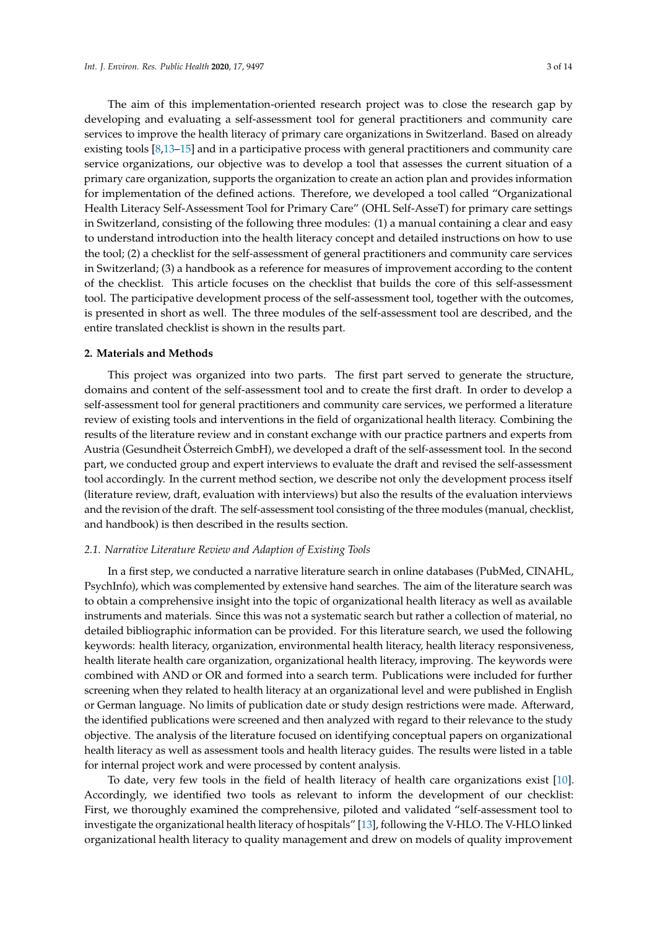The aim of this implementation-oriented research project was to close the research gap by developing and evaluating a self-assessment tool for general practitioners and community care services to improve the health literacy of primary care organizations in Switzerland. Based on already existing tools [\[8](#page-13-1)[,13](#page-13-6)[–15\]](#page-13-8) and in a participative process with general practitioners and community care service organizations, our objective was to develop a tool that assesses the current situation of a primary care organization, supports the organization to create an action plan and provides information for implementation of the defined actions. Therefore, we developed a tool called "Organizational Health Literacy Self-Assessment Tool for Primary Care" (OHL Self-AsseT) for primary care settings in Switzerland, consisting of the following three modules: (1) a manual containing a clear and easy to understand introduction into the health literacy concept and detailed instructions on how to use the tool; (2) a checklist for the self-assessment of general practitioners and community care services in Switzerland; (3) a handbook as a reference for measures of improvement according to the content of the checklist. This article focuses on the checklist that builds the core of this self-assessment tool. The participative development process of the self-assessment tool, together with the outcomes, is presented in short as well. The three modules of the self-assessment tool are described, and the entire translated checklist is shown in the results part.

# **2. Materials and Methods**

This project was organized into two parts. The first part served to generate the structure, domains and content of the self-assessment tool and to create the first draft. In order to develop a self-assessment tool for general practitioners and community care services, we performed a literature review of existing tools and interventions in the field of organizational health literacy. Combining the results of the literature review and in constant exchange with our practice partners and experts from Austria (Gesundheit Österreich GmbH), we developed a draft of the self-assessment tool. In the second part, we conducted group and expert interviews to evaluate the draft and revised the self-assessment tool accordingly. In the current method section, we describe not only the development process itself (literature review, draft, evaluation with interviews) but also the results of the evaluation interviews and the revision of the draft. The self-assessment tool consisting of the three modules (manual, checklist, and handbook) is then described in the results section.

# *2.1. Narrative Literature Review and Adaption of Existing Tools*

In a first step, we conducted a narrative literature search in online databases (PubMed, CINAHL, PsychInfo), which was complemented by extensive hand searches. The aim of the literature search was to obtain a comprehensive insight into the topic of organizational health literacy as well as available instruments and materials. Since this was not a systematic search but rather a collection of material, no detailed bibliographic information can be provided. For this literature search, we used the following keywords: health literacy, organization, environmental health literacy, health literacy responsiveness, health literate health care organization, organizational health literacy, improving. The keywords were combined with AND or OR and formed into a search term. Publications were included for further screening when they related to health literacy at an organizational level and were published in English or German language. No limits of publication date or study design restrictions were made. Afterward, the identified publications were screened and then analyzed with regard to their relevance to the study objective. The analysis of the literature focused on identifying conceptual papers on organizational health literacy as well as assessment tools and health literacy guides. The results were listed in a table for internal project work and were processed by content analysis.

To date, very few tools in the field of health literacy of health care organizations exist [\[10\]](#page-13-3). Accordingly, we identified two tools as relevant to inform the development of our checklist: First, we thoroughly examined the comprehensive, piloted and validated "self-assessment tool to investigate the organizational health literacy of hospitals" [\[13\]](#page-13-6), following the V-HLO. The V-HLO linked organizational health literacy to quality management and drew on models of quality improvement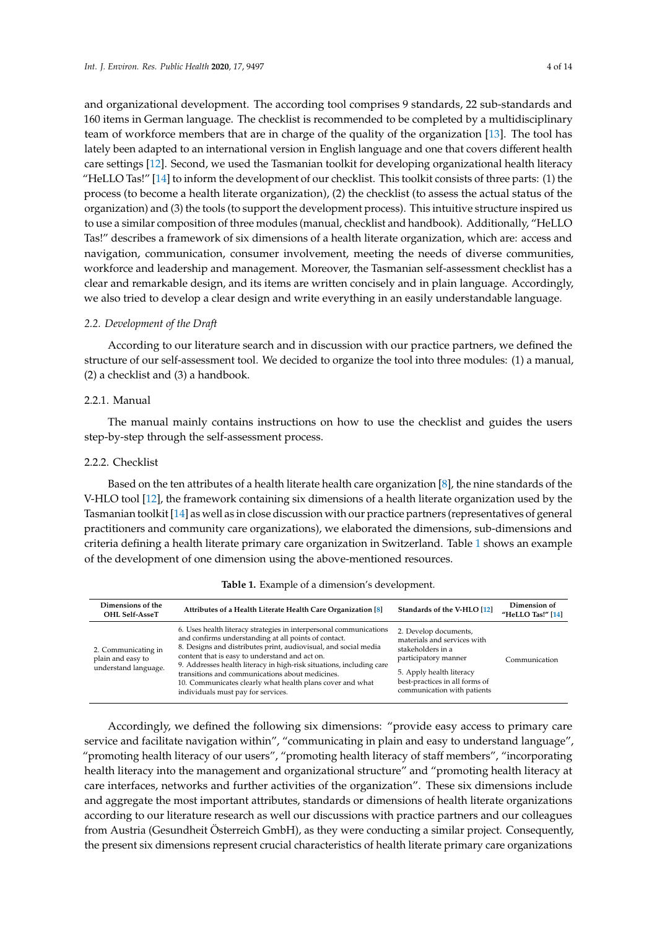and organizational development. The according tool comprises 9 standards, 22 sub-standards and 160 items in German language. The checklist is recommended to be completed by a multidisciplinary team of workforce members that are in charge of the quality of the organization [\[13\]](#page-13-6). The tool has lately been adapted to an international version in English language and one that covers different health care settings [\[12\]](#page-13-5). Second, we used the Tasmanian toolkit for developing organizational health literacy "HeLLO Tas!" [\[14\]](#page-13-7) to inform the development of our checklist. This toolkit consists of three parts: (1) the process (to become a health literate organization), (2) the checklist (to assess the actual status of the organization) and (3) the tools (to support the development process). This intuitive structure inspired us to use a similar composition of three modules (manual, checklist and handbook). Additionally, "HeLLO Tas!" describes a framework of six dimensions of a health literate organization, which are: access and navigation, communication, consumer involvement, meeting the needs of diverse communities, workforce and leadership and management. Moreover, the Tasmanian self-assessment checklist has a clear and remarkable design, and its items are written concisely and in plain language. Accordingly, we also tried to develop a clear design and write everything in an easily understandable language.

# *2.2. Development of the Draft*

According to our literature search and in discussion with our practice partners, we defined the structure of our self-assessment tool. We decided to organize the tool into three modules: (1) a manual, (2) a checklist and (3) a handbook.

# 2.2.1. Manual

The manual mainly contains instructions on how to use the checklist and guides the users step-by-step through the self-assessment process.

# 2.2.2. Checklist

Based on the ten attributes of a health literate health care organization [\[8\]](#page-13-1), the nine standards of the V-HLO tool [\[12\]](#page-13-5), the framework containing six dimensions of a health literate organization used by the Tasmanian toolkit [\[14\]](#page-13-7) as well as in close discussion with our practice partners (representatives of general practitioners and community care organizations), we elaborated the dimensions, sub-dimensions and criteria defining a health literate primary care organization in Switzerland. Table [1](#page-3-0) shows an example of the development of one dimension using the above-mentioned resources.

<span id="page-3-0"></span>

| Dimensions of the<br><b>OHL Self-AsseT</b>                       | Attributes of a Health Literate Health Care Organization [8]                                                                                                                                                                                                                                                                                                                                                                                                                  | Standards of the V-HLO [12]                                                                                                                                                                    | Dimension of<br>"HeLLO Tas!" [14] |
|------------------------------------------------------------------|-------------------------------------------------------------------------------------------------------------------------------------------------------------------------------------------------------------------------------------------------------------------------------------------------------------------------------------------------------------------------------------------------------------------------------------------------------------------------------|------------------------------------------------------------------------------------------------------------------------------------------------------------------------------------------------|-----------------------------------|
| 2. Communicating in<br>plain and easy to<br>understand language. | 6. Uses health literacy strategies in interpersonal communications<br>and confirms understanding at all points of contact.<br>8. Designs and distributes print, audiovisual, and social media<br>content that is easy to understand and act on.<br>9. Addresses health literacy in high-risk situations, including care<br>transitions and communications about medicines.<br>10. Communicates clearly what health plans cover and what<br>individuals must pay for services. | 2. Develop documents,<br>materials and services with<br>stakeholders in a<br>participatory manner<br>5. Apply health literacy<br>best-practices in all forms of<br>communication with patients | Communication                     |

# **Table 1.** Example of a dimension's development.

Accordingly, we defined the following six dimensions: "provide easy access to primary care service and facilitate navigation within", "communicating in plain and easy to understand language", "promoting health literacy of our users", "promoting health literacy of staff members", "incorporating health literacy into the management and organizational structure" and "promoting health literacy at care interfaces, networks and further activities of the organization". These six dimensions include and aggregate the most important attributes, standards or dimensions of health literate organizations according to our literature research as well our discussions with practice partners and our colleagues from Austria (Gesundheit Österreich GmbH), as they were conducting a similar project. Consequently, the present six dimensions represent crucial characteristics of health literate primary care organizations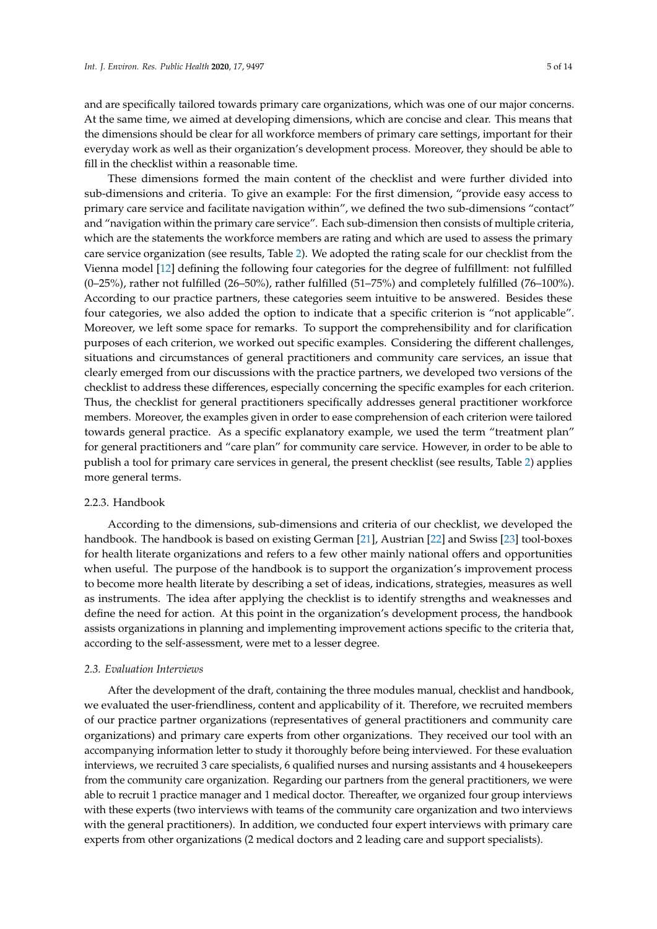and are specifically tailored towards primary care organizations, which was one of our major concerns. At the same time, we aimed at developing dimensions, which are concise and clear. This means that the dimensions should be clear for all workforce members of primary care settings, important for their everyday work as well as their organization's development process. Moreover, they should be able to fill in the checklist within a reasonable time.

These dimensions formed the main content of the checklist and were further divided into sub-dimensions and criteria. To give an example: For the first dimension, "provide easy access to primary care service and facilitate navigation within", we defined the two sub-dimensions "contact" and "navigation within the primary care service". Each sub-dimension then consists of multiple criteria, which are the statements the workforce members are rating and which are used to assess the primary care service organization (see results, Table [2\)](#page-8-0). We adopted the rating scale for our checklist from the Vienna model [\[12\]](#page-13-5) defining the following four categories for the degree of fulfillment: not fulfilled (0–25%), rather not fulfilled (26–50%), rather fulfilled (51–75%) and completely fulfilled (76–100%). According to our practice partners, these categories seem intuitive to be answered. Besides these four categories, we also added the option to indicate that a specific criterion is "not applicable". Moreover, we left some space for remarks. To support the comprehensibility and for clarification purposes of each criterion, we worked out specific examples. Considering the different challenges, situations and circumstances of general practitioners and community care services, an issue that clearly emerged from our discussions with the practice partners, we developed two versions of the checklist to address these differences, especially concerning the specific examples for each criterion. Thus, the checklist for general practitioners specifically addresses general practitioner workforce members. Moreover, the examples given in order to ease comprehension of each criterion were tailored towards general practice. As a specific explanatory example, we used the term "treatment plan" for general practitioners and "care plan" for community care service. However, in order to be able to publish a tool for primary care services in general, the present checklist (see results, Table [2\)](#page-8-0) applies more general terms.

# 2.2.3. Handbook

According to the dimensions, sub-dimensions and criteria of our checklist, we developed the handbook. The handbook is based on existing German [\[21\]](#page-13-14), Austrian [\[22\]](#page-13-15) and Swiss [\[23\]](#page-13-16) tool-boxes for health literate organizations and refers to a few other mainly national offers and opportunities when useful. The purpose of the handbook is to support the organization's improvement process to become more health literate by describing a set of ideas, indications, strategies, measures as well as instruments. The idea after applying the checklist is to identify strengths and weaknesses and define the need for action. At this point in the organization's development process, the handbook assists organizations in planning and implementing improvement actions specific to the criteria that, according to the self-assessment, were met to a lesser degree.

# *2.3. Evaluation Interviews*

After the development of the draft, containing the three modules manual, checklist and handbook, we evaluated the user-friendliness, content and applicability of it. Therefore, we recruited members of our practice partner organizations (representatives of general practitioners and community care organizations) and primary care experts from other organizations. They received our tool with an accompanying information letter to study it thoroughly before being interviewed. For these evaluation interviews, we recruited 3 care specialists, 6 qualified nurses and nursing assistants and 4 housekeepers from the community care organization. Regarding our partners from the general practitioners, we were able to recruit 1 practice manager and 1 medical doctor. Thereafter, we organized four group interviews with these experts (two interviews with teams of the community care organization and two interviews with the general practitioners). In addition, we conducted four expert interviews with primary care experts from other organizations (2 medical doctors and 2 leading care and support specialists).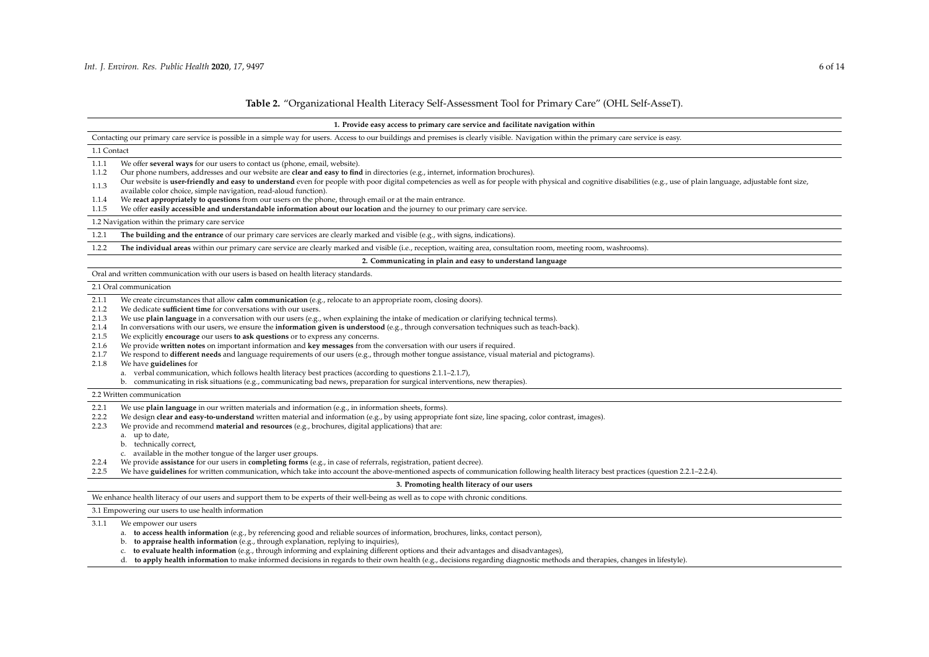# **Table 2.** "Organizational Health Literacy Self-Assessment Tool for Primary Care" (OHL Self-AsseT).

| 1. Provide easy access to primary care service and facilitate navigation within                                                                                                                                                                                                                                                                                                                                                                                                                                                                                                                                                                                                                                                                                                                                                                                                                                                                                                                                                                                                                                                                                                   |  |  |  |
|-----------------------------------------------------------------------------------------------------------------------------------------------------------------------------------------------------------------------------------------------------------------------------------------------------------------------------------------------------------------------------------------------------------------------------------------------------------------------------------------------------------------------------------------------------------------------------------------------------------------------------------------------------------------------------------------------------------------------------------------------------------------------------------------------------------------------------------------------------------------------------------------------------------------------------------------------------------------------------------------------------------------------------------------------------------------------------------------------------------------------------------------------------------------------------------|--|--|--|
| Contacting our primary care service is possible in a simple way for users. Access to our buildings and premises is clearly visible. Navigation within the primary care service is easy.                                                                                                                                                                                                                                                                                                                                                                                                                                                                                                                                                                                                                                                                                                                                                                                                                                                                                                                                                                                           |  |  |  |
| 1.1 Contact                                                                                                                                                                                                                                                                                                                                                                                                                                                                                                                                                                                                                                                                                                                                                                                                                                                                                                                                                                                                                                                                                                                                                                       |  |  |  |
| We offer several ways for our users to contact us (phone, email, website).<br>1.1.1<br>Our phone numbers, addresses and our website are clear and easy to find in directories (e.g., internet, information brochures).<br>1.1.2<br>Our website is user-friendly and easy to understand even for people with poor digital competencies as well as for people with physical and cognitive disabilities (e.g., use of plain language, adjustable font size,<br>1.1.3<br>available color choice, simple navigation, read-aloud function).<br>We react appropriately to questions from our users on the phone, through email or at the main entrance.<br>1.1.4<br>We offer easily accessible and understandable information about our location and the journey to our primary care service.<br>1.1.5                                                                                                                                                                                                                                                                                                                                                                                   |  |  |  |
| 1.2 Navigation within the primary care service                                                                                                                                                                                                                                                                                                                                                                                                                                                                                                                                                                                                                                                                                                                                                                                                                                                                                                                                                                                                                                                                                                                                    |  |  |  |
| The building and the entrance of our primary care services are clearly marked and visible (e.g., with signs, indications).<br>1.2.1                                                                                                                                                                                                                                                                                                                                                                                                                                                                                                                                                                                                                                                                                                                                                                                                                                                                                                                                                                                                                                               |  |  |  |
| The individual areas within our primary care service are clearly marked and visible (i.e., reception, waiting area, consultation room, meeting room, washrooms).<br>1.2.2                                                                                                                                                                                                                                                                                                                                                                                                                                                                                                                                                                                                                                                                                                                                                                                                                                                                                                                                                                                                         |  |  |  |
| 2. Communicating in plain and easy to understand language                                                                                                                                                                                                                                                                                                                                                                                                                                                                                                                                                                                                                                                                                                                                                                                                                                                                                                                                                                                                                                                                                                                         |  |  |  |
| Oral and written communication with our users is based on health literacy standards.                                                                                                                                                                                                                                                                                                                                                                                                                                                                                                                                                                                                                                                                                                                                                                                                                                                                                                                                                                                                                                                                                              |  |  |  |
| 2.1 Oral communication                                                                                                                                                                                                                                                                                                                                                                                                                                                                                                                                                                                                                                                                                                                                                                                                                                                                                                                                                                                                                                                                                                                                                            |  |  |  |
| We create circumstances that allow calm communication (e.g., relocate to an appropriate room, closing doors).<br>2.1.1<br>We dedicate sufficient time for conversations with our users.<br>2.1.2<br>We use plain language in a conversation with our users (e.g., when explaining the intake of medication or clarifying technical terms).<br>2.1.3<br>In conversations with our users, we ensure the information given is understood (e.g., through conversation techniques such as teach-back).<br>2.1.4<br>We explicitly encourage our users to ask questions or to express any concerns.<br>2.1.5<br>We provide written notes on important information and key messages from the conversation with our users if required.<br>2.1.6<br>We respond to different needs and language requirements of our users (e.g., through mother tongue assistance, visual material and pictograms).<br>2.1.7<br>We have guidelines for<br>2.1.8<br>a. verbal communication, which follows health literacy best practices (according to questions 2.1.1–2.1.7),<br>b. communicating in risk situations (e.g., communicating bad news, preparation for surgical interventions, new therapies). |  |  |  |
| 2.2 Written communication                                                                                                                                                                                                                                                                                                                                                                                                                                                                                                                                                                                                                                                                                                                                                                                                                                                                                                                                                                                                                                                                                                                                                         |  |  |  |
| We use plain language in our written materials and information (e.g., in information sheets, forms).<br>2.2.1<br>We design clear and easy-to-understand written material and information (e.g., by using appropriate font size, line spacing, color contrast, images).<br>2.2.2<br>We provide and recommend material and resources (e.g., brochures, digital applications) that are:<br>2.2.3<br>a. up to date,<br>b. technically correct,                                                                                                                                                                                                                                                                                                                                                                                                                                                                                                                                                                                                                                                                                                                                        |  |  |  |
| c. available in the mother tongue of the larger user groups.<br>We provide assistance for our users in completing forms (e.g., in case of referrals, registration, patient decree).<br>2.2.4<br>We have guidelines for written communication, which take into account the above-mentioned aspects of communication following health literacy best practices (question 2.2.1–2.2.4).<br>2.2.5                                                                                                                                                                                                                                                                                                                                                                                                                                                                                                                                                                                                                                                                                                                                                                                      |  |  |  |
| 3. Promoting health literacy of our users                                                                                                                                                                                                                                                                                                                                                                                                                                                                                                                                                                                                                                                                                                                                                                                                                                                                                                                                                                                                                                                                                                                                         |  |  |  |
| We enhance health literacy of our users and support them to be experts of their well-being as well as to cope with chronic conditions.                                                                                                                                                                                                                                                                                                                                                                                                                                                                                                                                                                                                                                                                                                                                                                                                                                                                                                                                                                                                                                            |  |  |  |
| 3.1 Empowering our users to use health information                                                                                                                                                                                                                                                                                                                                                                                                                                                                                                                                                                                                                                                                                                                                                                                                                                                                                                                                                                                                                                                                                                                                |  |  |  |

3.1.1 We empower our users

- a. **to access health information** (e.g., by referencing good and reliable sources of information, brochures, links, contact person),
- b. **to appraise health information** (e.g., through explanation, replying to inquiries),
- c. **to evaluate health information** (e.g., through informing and explaining different options and their advantages and disadvantages),
- d. **to apply health information** to make informed decisions in regards to their own health (e.g., decisions regarding diagnostic methods and therapies, changes in lifestyle).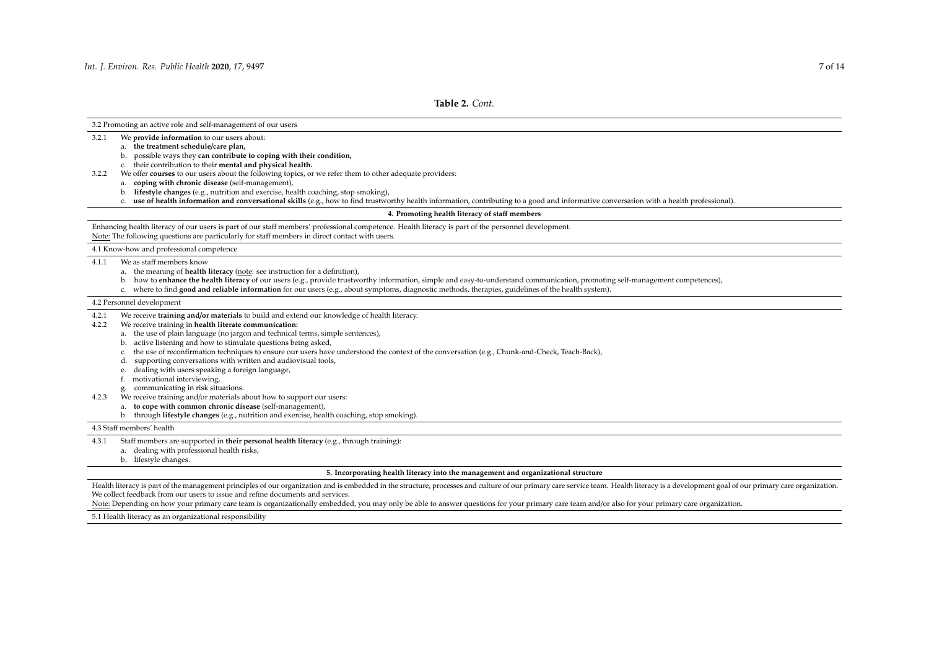3.2 Promoting an active role and self-management of our users

- 3.2.1 We **provide information** to our users about:
	- a. **the treatment schedule**/**care plan,**
	- b. possible ways they **can contribute to coping with their condition,**
	- c. their contribution to their **mental and physical health.**
- 3.2.2 We offer **courses** to our users about the following topics, or we refer them to other adequate providers:
	- a. **coping with chronic disease** (self-management),
	- b. **lifestyle changes** (e.g., nutrition and exercise, health coaching, stop smoking),
	- c. **use of health information and conversational skills** (e.g., how to find trustworthy health information, contributing to a good and informative conversation with a health professional).

### **4. Promoting health literacy of sta**ff **members**

Enhancing health literacy of our users is part of our staff members' professional competence. Health literacy is part of the personnel development. Note: The following questions are particularly for staff members in direct contact with users.

4.1 Know-how and professional competence

### 4.1.1 We as staff members know

- a. the meaning of **health literacy** (note: see instruction for a definition),
- b. how to **enhance the health literacy** of our users (e.g., provide trustworthy information, simple and easy-to-understand communication, promoting self-management competences),
- c. where to find **good and reliable information** for our users (e.g., about symptoms, diagnostic methods, therapies, guidelines of the health system).

#### 4.2 Personnel development

- 4.2.1 We receive **training and**/**or materials** to build and extend our knowledge of health literacy.
- 4.2.2 We receive training in **health literate communication:**
	- a. the use of plain language (no jargon and technical terms, simple sentences),
	- b. active listening and how to stimulate questions being asked,
	- c. the use of reconfirmation techniques to ensure our users have understood the context of the conversation (e.g., Chunk-and-Check, Teach-Back),
	- d. supporting conversations with written and audiovisual tools,
	- e. dealing with users speaking a foreign language,
	- f. motivational interviewing,
	- g. communicating in risk situations.
- 4.2.3 We receive training and/or materials about how to support our users:
	- a. **to cope with common chronic disease** (self-management),
	- b. through **lifestyle changes** (e.g., nutrition and exercise, health coaching, stop smoking).

4.3 Staff members' health

- 4.3.1 Staff members are supported in **their personal health literacy** (e.g., through training):
	- a. dealing with professional health risks,
		- b. lifestyle changes.

#### **5. Incorporating health literacy into the management and organizational structure**

Health literacy is part of the management principles of our organization and is embedded in the structure, processes and culture of our primary care service team. Health literacy is a development goal of our primary care o We collect feedback from our users to issue and refine documents and services.

Note: Depending on how your primary care team is organizationally embedded, you may only be able to answer questions for your primary care team and/or also for your primary care organization.

5.1 Health literacy as an organizational responsibility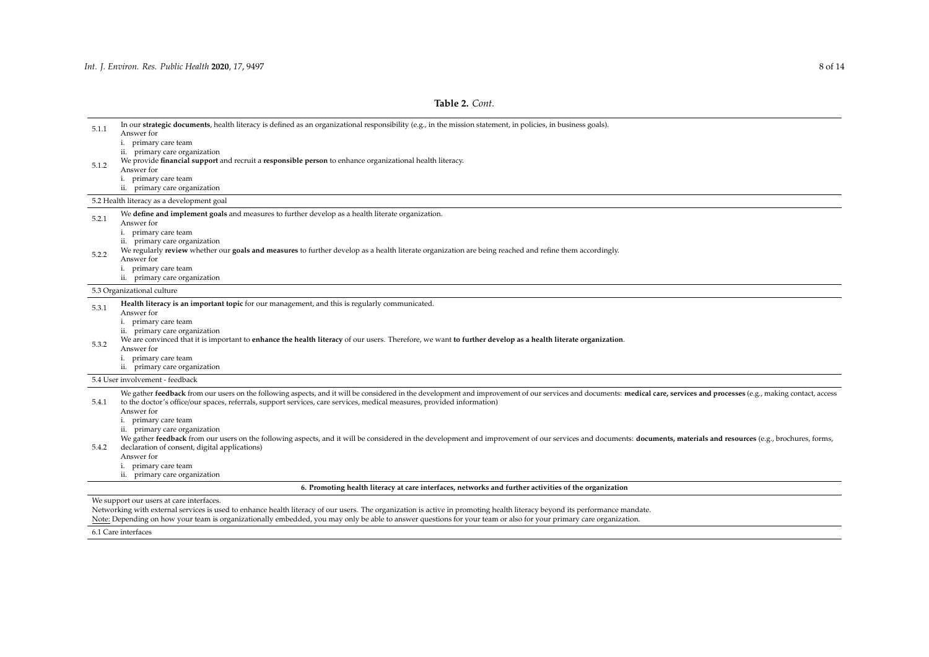# **Table 2.** *Cont.*

| 5.1.1 | In our strategic documents, health literacy is defined as an organizational responsibility (e.g., in the mission statement, in policies, in business goals).<br>Answer for                                                 |
|-------|----------------------------------------------------------------------------------------------------------------------------------------------------------------------------------------------------------------------------|
|       | i. primary care team                                                                                                                                                                                                       |
|       | ii. primary care organization                                                                                                                                                                                              |
| 5.1.2 | We provide financial support and recruit a responsible person to enhance organizational health literacy.                                                                                                                   |
|       | Answer for                                                                                                                                                                                                                 |
|       | i. primary care team                                                                                                                                                                                                       |
|       | ii. primary care organization                                                                                                                                                                                              |
|       | 5.2 Health literacy as a development goal                                                                                                                                                                                  |
| 5.2.1 | We define and implement goals and measures to further develop as a health literate organization.                                                                                                                           |
|       | Answer for                                                                                                                                                                                                                 |
|       | i. primary care team                                                                                                                                                                                                       |
|       | ii. primary care organization<br>We regularly review whether our goals and measures to further develop as a health literate organization are being reached and refine them accordingly.                                    |
| 5.2.2 | Answer for                                                                                                                                                                                                                 |
|       | i. primary care team                                                                                                                                                                                                       |
|       | ii. primary care organization                                                                                                                                                                                              |
|       | 5.3 Organizational culture                                                                                                                                                                                                 |
|       | Health literacy is an important topic for our management, and this is regularly communicated.                                                                                                                              |
| 5.3.1 | Answer for                                                                                                                                                                                                                 |
|       | i. primary care team                                                                                                                                                                                                       |
|       | ii. primary care organization                                                                                                                                                                                              |
| 5.3.2 | We are convinced that it is important to enhance the health literacy of our users. Therefore, we want to further develop as a health literate organization.                                                                |
|       | Answer for<br>i. primary care team                                                                                                                                                                                         |
|       | ii. primary care organization                                                                                                                                                                                              |
|       | 5.4 User involvement - feedback                                                                                                                                                                                            |
|       |                                                                                                                                                                                                                            |
|       | We gather feedback from our users on the following aspects, and it will be considered in the development and improvement of our services and documents: medical care, services and processes (e.g., making contact, access |
| 5.4.1 | to the doctor's office/our spaces, referrals, support services, care services, medical measures, provided information)<br>Answer for                                                                                       |
|       | i. primary care team                                                                                                                                                                                                       |
|       | ii. primary care organization                                                                                                                                                                                              |
|       | We gather feedback from our users on the following aspects, and it will be considered in the development and improvement of our services and documents: documents, materials and resources (e.g., brochures, forms,        |
| 5.4.2 | declaration of consent, digital applications)                                                                                                                                                                              |
|       | Answer for                                                                                                                                                                                                                 |
|       | i. primary care team                                                                                                                                                                                                       |
|       | ii. primary care organization                                                                                                                                                                                              |
|       | 6. Promoting health literacy at care interfaces, networks and further activities of the organization                                                                                                                       |
|       | We support our users at care interfaces.                                                                                                                                                                                   |
|       | Networking with external services is used to enhance health literacy of our users. The organization is active in promoting health literacy beyond its performance mandate.                                                 |

Note: Depending on how your team is organizationally embedded, you may only be able to answer questions for your team or also for your primary care organization.

6.1 Care interfaces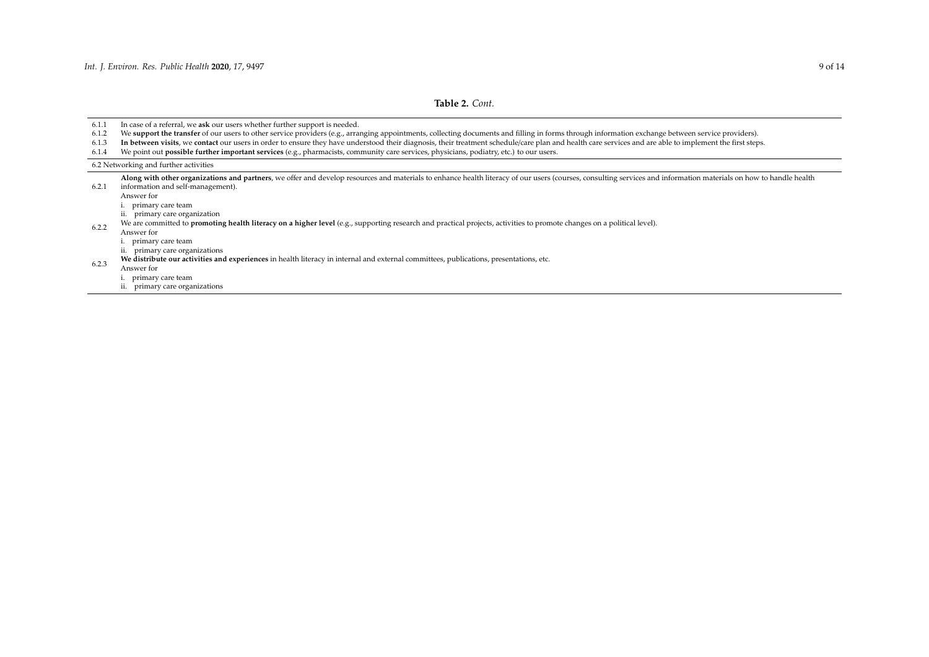# **Table 2.** *Cont.*

6.1.1 In case of a referral, we **ask** our users whether further support is needed.<br>6.1.2 We **support the transfer** of our users to other service providers (e.g., arrances)

6.1.2 We **support the transfer** of our users to other service providers (e.g., arranging appointments, collecting documents and filling in forms through information exchange between service providers).<br> **In between visits** 

6.1.3 **In between visits**, we **contact** our users in order to ensure they have understood their diagnosis, their treatment schedule/care plan and health care services and are able to implement the first steps.<br>6.1.4 We poi

6.1.4 We point out **possible further important services** (e.g., pharmacists, community care services, physicians, podiatry, etc.) to our users.

6.2 Networking and further activities

6.2.1 information and self-management). Along with other organizations and partners, we offer and develop resources and materials to enhance health literacy of our users (courses, consulting services and information materials on how to handle health

Answer for

i. primary care team

ii. primary care organization

We are committed to **promoting health literacy on a higher level** (e.g., supporting research and practical projects, activities to promote changes on a political level).

Answer for

i. primary care team

ii. primary care organizations

**We distribute our activities and experiences** in health literacy in internal and external committees, publications, presentations, etc.

Answer for

i. primary care team

<span id="page-8-0"></span>ii. primary care organizations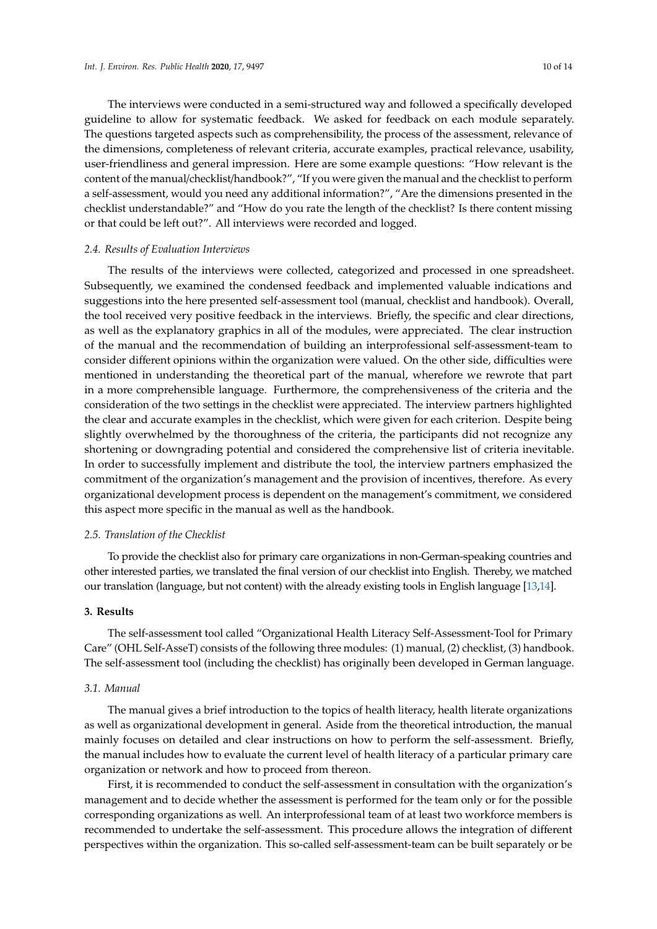The interviews were conducted in a semi-structured way and followed a specifically developed guideline to allow for systematic feedback. We asked for feedback on each module separately. The questions targeted aspects such as comprehensibility, the process of the assessment, relevance of the dimensions, completeness of relevant criteria, accurate examples, practical relevance, usability, user-friendliness and general impression. Here are some example questions: "How relevant is the content of the manual/checklist/handbook?", "If you were given the manual and the checklist to perform a self-assessment, would you need any additional information?", "Are the dimensions presented in the checklist understandable?" and "How do you rate the length of the checklist? Is there content missing or that could be left out?". All interviews were recorded and logged.

# *2.4. Results of Evaluation Interviews*

The results of the interviews were collected, categorized and processed in one spreadsheet. Subsequently, we examined the condensed feedback and implemented valuable indications and suggestions into the here presented self-assessment tool (manual, checklist and handbook). Overall, the tool received very positive feedback in the interviews. Briefly, the specific and clear directions, as well as the explanatory graphics in all of the modules, were appreciated. The clear instruction of the manual and the recommendation of building an interprofessional self-assessment-team to consider different opinions within the organization were valued. On the other side, difficulties were mentioned in understanding the theoretical part of the manual, wherefore we rewrote that part in a more comprehensible language. Furthermore, the comprehensiveness of the criteria and the consideration of the two settings in the checklist were appreciated. The interview partners highlighted the clear and accurate examples in the checklist, which were given for each criterion. Despite being slightly overwhelmed by the thoroughness of the criteria, the participants did not recognize any shortening or downgrading potential and considered the comprehensive list of criteria inevitable. In order to successfully implement and distribute the tool, the interview partners emphasized the commitment of the organization's management and the provision of incentives, therefore. As every organizational development process is dependent on the management's commitment, we considered this aspect more specific in the manual as well as the handbook.

# *2.5. Translation of the Checklist*

To provide the checklist also for primary care organizations in non-German-speaking countries and other interested parties, we translated the final version of our checklist into English. Thereby, we matched our translation (language, but not content) with the already existing tools in English language [\[13](#page-13-6)[,14\]](#page-13-7).

# **3. Results**

The self-assessment tool called "Organizational Health Literacy Self-Assessment-Tool for Primary Care" (OHL Self-AsseT) consists of the following three modules: (1) manual, (2) checklist, (3) handbook. The self-assessment tool (including the checklist) has originally been developed in German language.

# *3.1. Manual*

The manual gives a brief introduction to the topics of health literacy, health literate organizations as well as organizational development in general. Aside from the theoretical introduction, the manual mainly focuses on detailed and clear instructions on how to perform the self-assessment. Briefly, the manual includes how to evaluate the current level of health literacy of a particular primary care organization or network and how to proceed from thereon.

First, it is recommended to conduct the self-assessment in consultation with the organization's management and to decide whether the assessment is performed for the team only or for the possible corresponding organizations as well. An interprofessional team of at least two workforce members is recommended to undertake the self-assessment. This procedure allows the integration of different perspectives within the organization. This so-called self-assessment-team can be built separately or be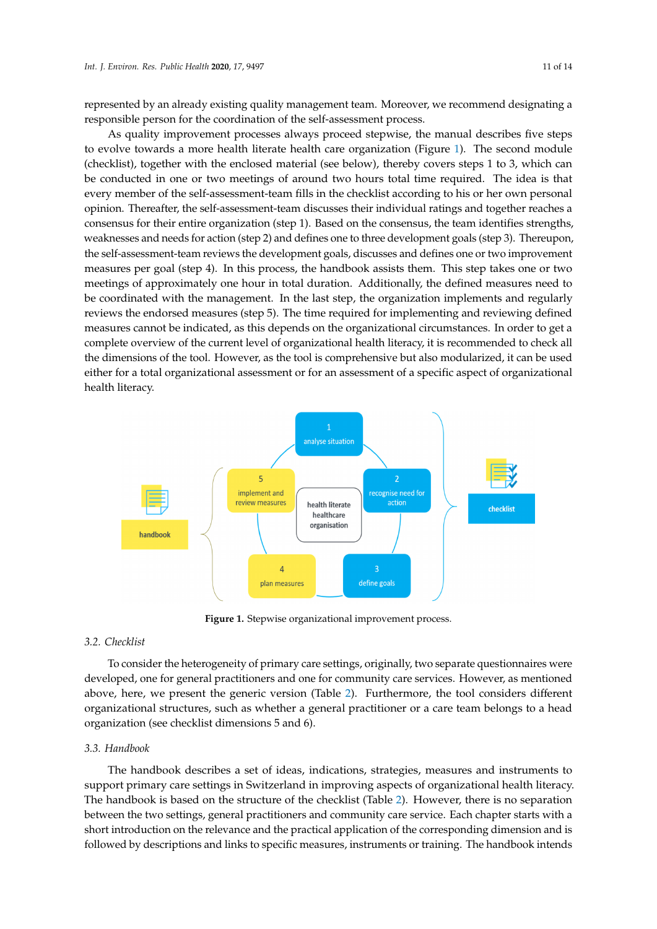represented by an already existing quality management team. Moreover, we recommend designating a responsible person for the coordination of the self-assessment process. persented by an alleady existing quality management team. Moreover, we recommend designating

As quality improvement processes always proceed stepwise, the manual describes five steps to evolve towards a more health literate health care organization (Figure [1\)](#page-10-0). The second module (checklist), together with the enclosed material (see below), thereby covers steps  $1$  to  $3$ , which can be conducted in one or two meetings of around two hours total time required. The idea is that every member of the self-assessment-team fills in the checklist according to his or her own personal opinion. Thereafter, the self-assessment-team discusses their individual ratings and together reaches a consensus for their entire organization (step 1). Based on the consensus, the team identifies strengths, weaknesses and needs for action (step 2) and defines one to three development goals (step 3). Thereupon, the self-assessment-team reviews the development goals, discusses and defines one or two improvement measures per goal (step 4). In this process, the handbook assists them. This step takes one or two meetings of approximately one hour in total duration. Additionally, the defined measures need to be coordinated with the management. In the last step, the organization implements and regularly reviews the endorsed measures (step 5). The time required for implementing and reviewing defined measures cannot be indicated, as this depends on the organizational circumstances. In order to get a complete overview of the current level of organizational health literacy, it is recommended to check all the dimensions of the tool. However, as the tool is comprehensive but also modularized, it can be used lite announced or the tool. However, as the tool is comprehensive succase modularized, it can be asset<br>either for a total organizational assessment or for an assessment of a specific aspect of organizational health literacy. comprehensive but also modulated the used either for a total decompany or a specific dispect or organization for an assessment of a specific aspect of organizational health literacy.

<span id="page-10-0"></span>

**Figure 1.** Stepwise organizational improvement process. **Figure 1.** Stepwise organizational improvement process.

# *3.2. Checklist*

To consider the heterogeneity of primary care settings, originally, two separate questionnaires were developed, one for general practitioners and one for community care services. However, as mentioned above, here, we present the generic version (Table [2\)](#page-8-0). Furthermore, the tool considers different organizational structures, such as whether a general practitioner or a care team belongs to a head organization (see checklist dimensions 5 and 6).

# *3.3. Handbook*

The handbook describes a set of ideas, indications, strategies, measures and instruments to support primary care settings in Switzerland in improving aspects of organizational health literacy. The handbook is based on the structure of the checklist (Table [2\)](#page-8-0). However, there is no separation between the two settings, general practitioners and community care service. Each chapter starts with a short introduction on the relevance and the practical application of the corresponding dimension and is followed by descriptions and links to specific measures, instruments or training. The handbook intends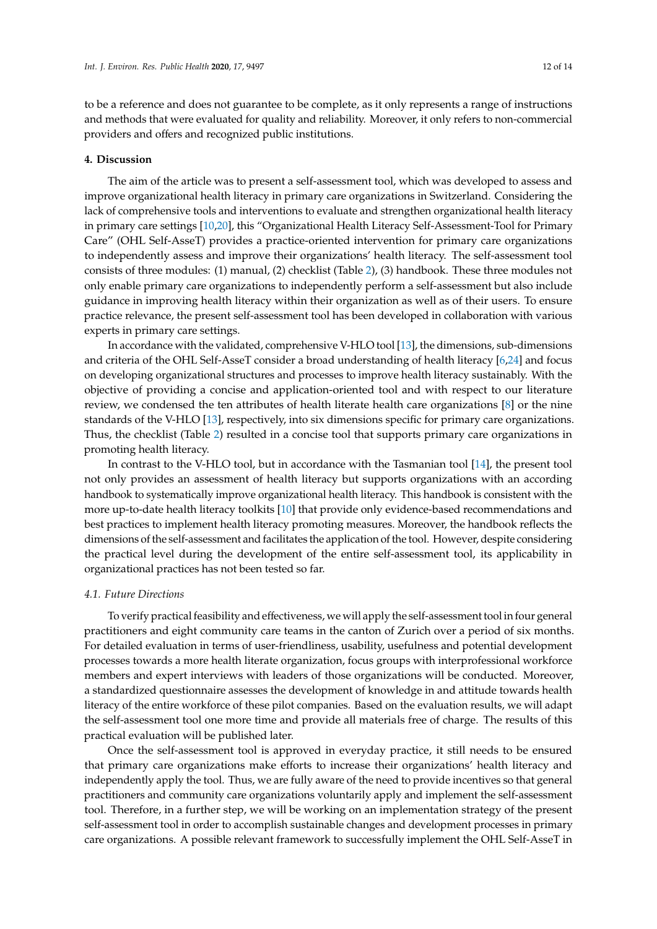to be a reference and does not guarantee to be complete, as it only represents a range of instructions and methods that were evaluated for quality and reliability. Moreover, it only refers to non-commercial providers and offers and recognized public institutions.

# **4. Discussion**

The aim of the article was to present a self-assessment tool, which was developed to assess and improve organizational health literacy in primary care organizations in Switzerland. Considering the lack of comprehensive tools and interventions to evaluate and strengthen organizational health literacy in primary care settings [\[10,](#page-13-3)[20\]](#page-13-13), this "Organizational Health Literacy Self-Assessment-Tool for Primary Care" (OHL Self-AsseT) provides a practice-oriented intervention for primary care organizations to independently assess and improve their organizations' health literacy. The self-assessment tool consists of three modules: (1) manual, (2) checklist (Table [2\)](#page-8-0), (3) handbook. These three modules not only enable primary care organizations to independently perform a self-assessment but also include guidance in improving health literacy within their organization as well as of their users. To ensure practice relevance, the present self-assessment tool has been developed in collaboration with various experts in primary care settings.

In accordance with the validated, comprehensive V-HLO tool [\[13\]](#page-13-6), the dimensions, sub-dimensions and criteria of the OHL Self-AsseT consider a broad understanding of health literacy [\[6](#page-12-5)[,24\]](#page-13-17) and focus on developing organizational structures and processes to improve health literacy sustainably. With the objective of providing a concise and application-oriented tool and with respect to our literature review, we condensed the ten attributes of health literate health care organizations [\[8\]](#page-13-1) or the nine standards of the V-HLO [\[13\]](#page-13-6), respectively, into six dimensions specific for primary care organizations. Thus, the checklist (Table [2\)](#page-8-0) resulted in a concise tool that supports primary care organizations in promoting health literacy.

In contrast to the V-HLO tool, but in accordance with the Tasmanian tool [\[14\]](#page-13-7), the present tool not only provides an assessment of health literacy but supports organizations with an according handbook to systematically improve organizational health literacy. This handbook is consistent with the more up-to-date health literacy toolkits [\[10\]](#page-13-3) that provide only evidence-based recommendations and best practices to implement health literacy promoting measures. Moreover, the handbook reflects the dimensions of the self-assessment and facilitates the application of the tool. However, despite considering the practical level during the development of the entire self-assessment tool, its applicability in organizational practices has not been tested so far.

# *4.1. Future Directions*

To verify practical feasibility and effectiveness, we will apply the self-assessment tool in four general practitioners and eight community care teams in the canton of Zurich over a period of six months. For detailed evaluation in terms of user-friendliness, usability, usefulness and potential development processes towards a more health literate organization, focus groups with interprofessional workforce members and expert interviews with leaders of those organizations will be conducted. Moreover, a standardized questionnaire assesses the development of knowledge in and attitude towards health literacy of the entire workforce of these pilot companies. Based on the evaluation results, we will adapt the self-assessment tool one more time and provide all materials free of charge. The results of this practical evaluation will be published later.

Once the self-assessment tool is approved in everyday practice, it still needs to be ensured that primary care organizations make efforts to increase their organizations' health literacy and independently apply the tool. Thus, we are fully aware of the need to provide incentives so that general practitioners and community care organizations voluntarily apply and implement the self-assessment tool. Therefore, in a further step, we will be working on an implementation strategy of the present self-assessment tool in order to accomplish sustainable changes and development processes in primary care organizations. A possible relevant framework to successfully implement the OHL Self-AsseT in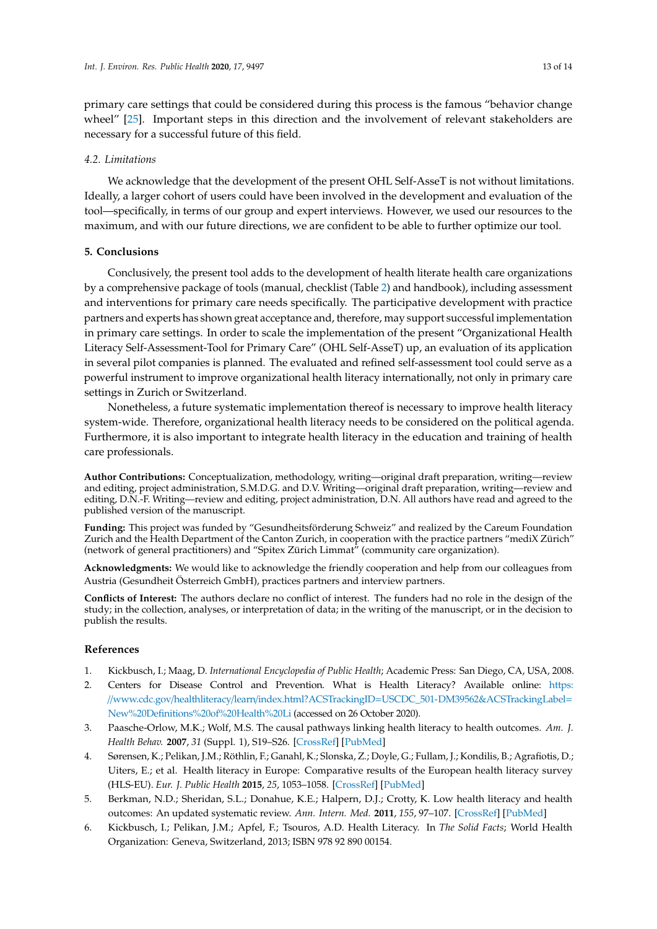primary care settings that could be considered during this process is the famous "behavior change wheel" [\[25\]](#page-13-18). Important steps in this direction and the involvement of relevant stakeholders are necessary for a successful future of this field.

# *4.2. Limitations*

We acknowledge that the development of the present OHL Self-AsseT is not without limitations. Ideally, a larger cohort of users could have been involved in the development and evaluation of the tool—specifically, in terms of our group and expert interviews. However, we used our resources to the maximum, and with our future directions, we are confident to be able to further optimize our tool.

# **5. Conclusions**

Conclusively, the present tool adds to the development of health literate health care organizations by a comprehensive package of tools (manual, checklist (Table [2\)](#page-8-0) and handbook), including assessment and interventions for primary care needs specifically. The participative development with practice partners and experts has shown great acceptance and, therefore, may support successful implementation in primary care settings. In order to scale the implementation of the present "Organizational Health Literacy Self-Assessment-Tool for Primary Care" (OHL Self-AsseT) up, an evaluation of its application in several pilot companies is planned. The evaluated and refined self-assessment tool could serve as a powerful instrument to improve organizational health literacy internationally, not only in primary care settings in Zurich or Switzerland.

Nonetheless, a future systematic implementation thereof is necessary to improve health literacy system-wide. Therefore, organizational health literacy needs to be considered on the political agenda. Furthermore, it is also important to integrate health literacy in the education and training of health care professionals.

**Author Contributions:** Conceptualization, methodology, writing—original draft preparation, writing—review and editing, project administration, S.M.D.G. and D.V. Writing—original draft preparation, writing—review and editing, D.N.-F. Writing—review and editing, project administration, D.N. All authors have read and agreed to the published version of the manuscript.

**Funding:** This project was funded by "Gesundheitsförderung Schweiz" and realized by the Careum Foundation Zurich and the Health Department of the Canton Zurich, in cooperation with the practice partners "mediX Zürich" (network of general practitioners) and "Spitex Zürich Limmat" (community care organization).

**Acknowledgments:** We would like to acknowledge the friendly cooperation and help from our colleagues from Austria (Gesundheit Österreich GmbH), practices partners and interview partners.

**Conflicts of Interest:** The authors declare no conflict of interest. The funders had no role in the design of the study; in the collection, analyses, or interpretation of data; in the writing of the manuscript, or in the decision to publish the results.

# **References**

- <span id="page-12-0"></span>1. Kickbusch, I.; Maag, D. *International Encyclopedia of Public Health*; Academic Press: San Diego, CA, USA, 2008.
- <span id="page-12-1"></span>2. Centers for Disease Control and Prevention. What is Health Literacy? Available online: [https:](https://www.cdc.gov/healthliteracy/learn/index.html?ACSTrackingID=USCDC_501-DM39562&ACSTrackingLabel=New%20Definitions%20of%20Health%20Li) //www.cdc.gov/healthliteracy/learn/index.html?ACSTrackingID=[USCDC\\_501-DM39562&ACSTrackingLabel](https://www.cdc.gov/healthliteracy/learn/index.html?ACSTrackingID=USCDC_501-DM39562&ACSTrackingLabel=New%20Definitions%20of%20Health%20Li)= [New%20Definitions%20of%20Health%20Li](https://www.cdc.gov/healthliteracy/learn/index.html?ACSTrackingID=USCDC_501-DM39562&ACSTrackingLabel=New%20Definitions%20of%20Health%20Li) (accessed on 26 October 2020).
- <span id="page-12-2"></span>3. Paasche-Orlow, M.K.; Wolf, M.S. The causal pathways linking health literacy to health outcomes. *Am. J. Health Behav.* **2007**, *31* (Suppl. 1), S19–S26. [\[CrossRef\]](http://dx.doi.org/10.5993/AJHB.31.s1.4) [\[PubMed\]](http://www.ncbi.nlm.nih.gov/pubmed/17931132)
- <span id="page-12-3"></span>4. Sørensen, K.; Pelikan, J.M.; Röthlin, F.; Ganahl, K.; Slonska, Z.; Doyle, G.; Fullam, J.; Kondilis, B.; Agrafiotis, D.; Uiters, E.; et al. Health literacy in Europe: Comparative results of the European health literacy survey (HLS-EU). *Eur. J. Public Health* **2015**, *25*, 1053–1058. [\[CrossRef\]](http://dx.doi.org/10.1093/eurpub/ckv043) [\[PubMed\]](http://www.ncbi.nlm.nih.gov/pubmed/25843827)
- <span id="page-12-4"></span>5. Berkman, N.D.; Sheridan, S.L.; Donahue, K.E.; Halpern, D.J.; Crotty, K. Low health literacy and health outcomes: An updated systematic review. *Ann. Intern. Med.* **2011**, *155*, 97–107. [\[CrossRef\]](http://dx.doi.org/10.7326/0003-4819-155-2-201107190-00005) [\[PubMed\]](http://www.ncbi.nlm.nih.gov/pubmed/21768583)
- <span id="page-12-5"></span>6. Kickbusch, I.; Pelikan, J.M.; Apfel, F.; Tsouros, A.D. Health Literacy. In *The Solid Facts*; World Health Organization: Geneva, Switzerland, 2013; ISBN 978 92 890 00154.